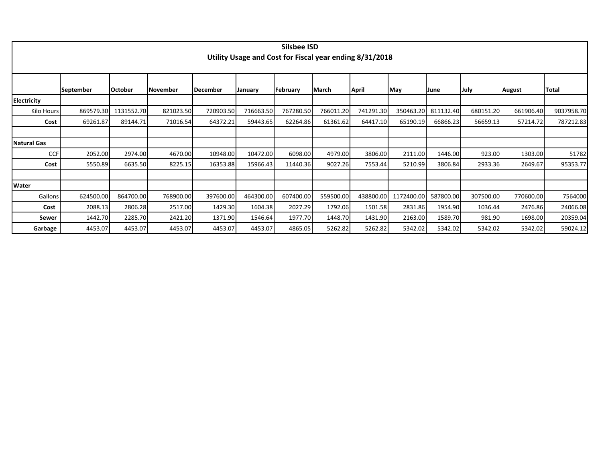|                    |                  |                |                 |                 |                                                         | Silsbee ISD |           |           |            |             |           |               |              |
|--------------------|------------------|----------------|-----------------|-----------------|---------------------------------------------------------|-------------|-----------|-----------|------------|-------------|-----------|---------------|--------------|
|                    |                  |                |                 |                 | Utility Usage and Cost for Fiscal year ending 8/31/2018 |             |           |           |            |             |           |               |              |
|                    |                  |                |                 |                 |                                                         |             |           |           |            |             |           |               |              |
|                    |                  |                |                 |                 |                                                         |             |           |           |            |             |           |               |              |
|                    | <b>September</b> | <b>October</b> | <b>November</b> | <b>December</b> | January                                                 | February    | March     | April     | May        | <b>June</b> | July      | <b>August</b> | <b>Total</b> |
| <b>Electricity</b> |                  |                |                 |                 |                                                         |             |           |           |            |             |           |               |              |
| Kilo Hours         | 869579.30        | 1131552.70     | 821023.50       | 720903.50       | 716663.50                                               | 767280.50   | 766011.20 | 741291.30 | 350463.20  | 811132.40   | 680151.20 | 661906.40     | 9037958.70   |
| Cost               | 69261.87         | 89144.71       | 71016.54        | 64372.21        | 59443.65                                                | 62264.86    | 61361.62  | 64417.10  | 65190.19   | 66866.23    | 56659.13  | 57214.72      | 787212.83    |
|                    |                  |                |                 |                 |                                                         |             |           |           |            |             |           |               |              |
| <b>Natural Gas</b> |                  |                |                 |                 |                                                         |             |           |           |            |             |           |               |              |
| CCF                | 2052.00          | 2974.00        | 4670.00         | 10948.00        | 10472.00                                                | 6098.00     | 4979.00   | 3806.00   | 2111.00    | 1446.00     | 923.00    | 1303.00       | 51782        |
| Cost               | 5550.89          | 6635.50        | 8225.15         | 16353.88        | 15966.43                                                | 11440.36    | 9027.26   | 7553.44   | 5210.99    | 3806.84     | 2933.36   | 2649.67       | 95353.77     |
|                    |                  |                |                 |                 |                                                         |             |           |           |            |             |           |               |              |
| Water              |                  |                |                 |                 |                                                         |             |           |           |            |             |           |               |              |
| Gallons            | 624500.00        | 864700.00      | 768900.00       | 397600.00       | 464300.00                                               | 607400.00   | 559500.00 | 438800.00 | 1172400.00 | 587800.00   | 307500.00 | 770600.00     | 7564000      |
| Cost               | 2088.13          | 2806.28        | 2517.00         | 1429.30         | 1604.38                                                 | 2027.29     | 1792.06   | 1501.58   | 2831.86    | 1954.90     | 1036.44   | 2476.86       | 24066.08     |
| Sewer              | 1442.70          | 2285.70        | 2421.20         | 1371.90         | 1546.64                                                 | 1977.70     | 1448.70   | 1431.90   | 2163.00    | 1589.70     | 981.90    | 1698.00       | 20359.04     |
| Garbage            | 4453.07          | 4453.07        | 4453.07         | 4453.07         | 4453.07                                                 | 4865.05     | 5262.82   | 5262.82   | 5342.02    | 5342.02     | 5342.02   | 5342.02       | 59024.12     |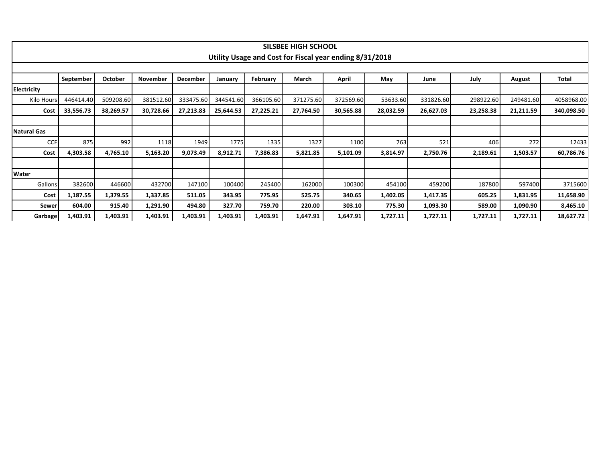|                    |           |           |           |           |           |           | <b>SILSBEE HIGH SCHOOL</b> |                                                         |           |           |           |           |            |
|--------------------|-----------|-----------|-----------|-----------|-----------|-----------|----------------------------|---------------------------------------------------------|-----------|-----------|-----------|-----------|------------|
|                    |           |           |           |           |           |           |                            | Utility Usage and Cost for Fiscal year ending 8/31/2018 |           |           |           |           |            |
|                    |           |           |           |           |           |           |                            |                                                         |           |           |           |           |            |
|                    | September | October   | November  | December  | January   | February  | March                      | April                                                   | May       | June      | July      | August    | Total      |
| Electricity        |           |           |           |           |           |           |                            |                                                         |           |           |           |           |            |
| Kilo Hours         | 446414.40 | 509208.60 | 381512.60 | 333475.60 | 344541.60 | 366105.60 | 371275.60                  | 372569.60                                               | 53633.60  | 331826.60 | 298922.60 | 249481.60 | 4058968.00 |
| Cost               | 33,556.73 | 38,269.57 | 30,728.66 | 27,213.83 | 25,644.53 | 27,225.21 | 27,764.50                  | 30,565.88                                               | 28,032.59 | 26,627.03 | 23,258.38 | 21,211.59 | 340,098.50 |
|                    |           |           |           |           |           |           |                            |                                                         |           |           |           |           |            |
| <b>Natural Gas</b> |           |           |           |           |           |           |                            |                                                         |           |           |           |           |            |
| <b>CCF</b>         | 875       | 992       | 1118      | 1949      | 1775      | 1335      | 1327                       | 1100                                                    | 763       | 521       | 406       | 272       | 12433      |
| Cost               | 4,303.58  | 4,765.10  | 5,163.20  | 9,073.49  | 8,912.71  | 7,386.83  | 5,821.85                   | 5,101.09                                                | 3,814.97  | 2,750.76  | 2,189.61  | 1,503.57  | 60,786.76  |
|                    |           |           |           |           |           |           |                            |                                                         |           |           |           |           |            |
| Water              |           |           |           |           |           |           |                            |                                                         |           |           |           |           |            |
| Gallons            | 382600    | 446600    | 432700    | 147100    | 100400    | 245400    | 162000                     | 100300                                                  | 454100    | 459200    | 187800    | 597400    | 3715600    |
| Cost               | 1,187.55  | 1,379.55  | 1,337.85  | 511.05    | 343.95    | 775.95    | 525.75                     | 340.65                                                  | 1,402.05  | 1,417.35  | 605.25    | 1,831.95  | 11,658.90  |
| Sewer              | 604.00    | 915.40    | 1,291.90  | 494.80    | 327.70    | 759.70    | 220.00                     | 303.10                                                  | 775.30    | 1,093.30  | 589.00    | 1,090.90  | 8,465.10   |
| Garbage            | 1,403.91  | 1,403.91  | 1,403.91  | 1,403.91  | 1,403.91  | 1,403.91  | 1,647.91                   | 1,647.91                                                | 1,727.11  | 1,727.11  | 1,727.11  | 1,727.11  | 18,627.72  |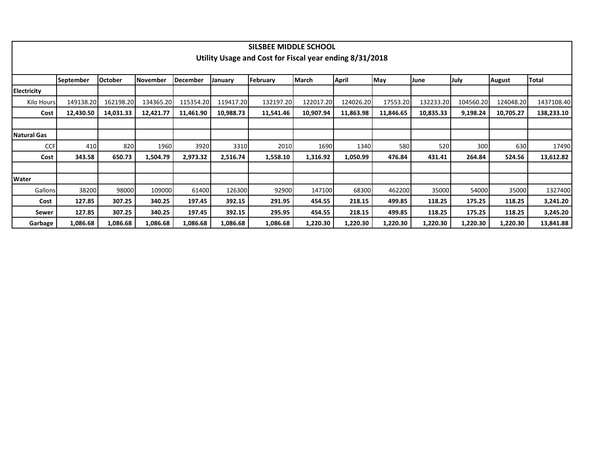|                    |                  |                |                 |                 |           | SILSBEE MIDDLE SCHOOL                                   |              |              |           |            |           |           |              |
|--------------------|------------------|----------------|-----------------|-----------------|-----------|---------------------------------------------------------|--------------|--------------|-----------|------------|-----------|-----------|--------------|
|                    |                  |                |                 |                 |           | Utility Usage and Cost for Fiscal year ending 8/31/2018 |              |              |           |            |           |           |              |
|                    |                  |                |                 |                 |           |                                                         |              |              |           |            |           |           |              |
|                    | <b>September</b> | <b>October</b> | <b>November</b> | <b>December</b> | January   | February                                                | <b>March</b> | <b>April</b> | May       | June       | July      | August    | <b>Total</b> |
| <b>Electricity</b> |                  |                |                 |                 |           |                                                         |              |              |           |            |           |           |              |
| Kilo Hours         | 149138.20        | 162198.20      | 134365.20       | 115354.20       | 119417.20 | 132197.20                                               | 122017.20    | 124026.20    | 17553.20  | 132233.20  | 104560.20 | 124048.20 | 1437108.40   |
| Cost               | 12,430.50        | 14,031.33      | 12,421.77       | 11,461.90       | 10,988.73 | 11,541.46                                               | 10,907.94    | 11,863.98    | 11,846.65 | 10,835.33  | 9,198.24  | 10,705.27 | 138,233.10   |
|                    |                  |                |                 |                 |           |                                                         |              |              |           |            |           |           |              |
| <b>Natural Gas</b> |                  |                |                 |                 |           |                                                         |              |              |           |            |           |           |              |
| <b>CCF</b>         | 410              | 820            | 1960            | 3920            | 3310      | 2010                                                    | 1690         | 1340         | 580       | <b>520</b> | 300       | 630       | 17490        |
| Cost               | 343.58           | 650.73         | 1,504.79        | 2,973.32        | 2,516.74  | 1,558.10                                                | 1,316.92     | 1,050.99     | 476.84    | 431.41     | 264.84    | 524.56    | 13,612.82    |
|                    |                  |                |                 |                 |           |                                                         |              |              |           |            |           |           |              |
| Water              |                  |                |                 |                 |           |                                                         |              |              |           |            |           |           |              |
| Gallons            | 38200            | 98000          | 109000          | 61400           | 126300    | 92900                                                   | 147100       | 68300        | 462200    | 35000      | 54000     | 35000     | 1327400      |
| Cost               | 127.85           | 307.25         | 340.25          | 197.45          | 392.15    | 291.95                                                  | 454.55       | 218.15       | 499.85    | 118.25     | 175.25    | 118.25    | 3,241.20     |
| Sewer              | 127.85           | 307.25         | 340.25          | 197.45          | 392.15    | 295.95                                                  | 454.55       | 218.15       | 499.85    | 118.25     | 175.25    | 118.25    | 3,245.20     |
| Garbage            | 1,086.68         | 1,086.68       | 1,086.68        | 1,086.68        | 1,086.68  | 1,086.68                                                | 1,220.30     | 1,220.30     | 1,220.30  | 1,220.30   | 1,220.30  | 1,220.30  | 13,841.88    |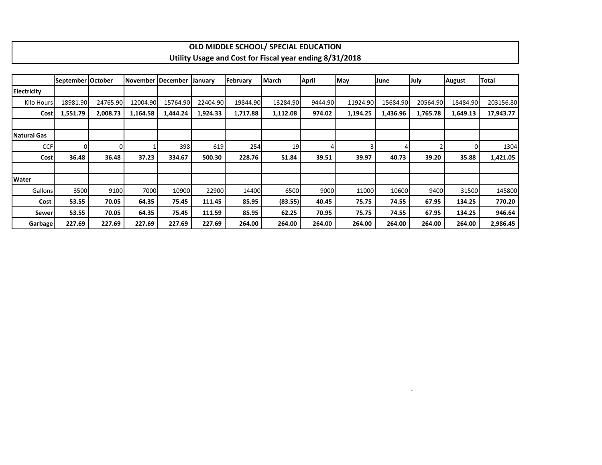|                    |                   |          |          |                   |          |          | OLD MIDDLE SCHOOL/ SPECIAL EDUCATION                    |              |          |          |             |               |              |
|--------------------|-------------------|----------|----------|-------------------|----------|----------|---------------------------------------------------------|--------------|----------|----------|-------------|---------------|--------------|
|                    |                   |          |          |                   |          |          | Utility Usage and Cost for Fiscal year ending 8/31/2018 |              |          |          |             |               |              |
|                    |                   |          |          |                   |          |          |                                                         |              |          |          |             |               |              |
|                    | September October |          |          | November December | January  | February | March                                                   | <b>April</b> | May      | June     | <b>July</b> | <b>August</b> | <b>Total</b> |
| <b>Electricity</b> |                   |          |          |                   |          |          |                                                         |              |          |          |             |               |              |
| Kilo Hours         | 18981.90          | 24765.90 | 12004.90 | 15764.90          | 22404.90 | 19844.90 | 13284.90                                                | 9444.90      | 11924.90 | 15684.90 | 20564.90    | 18484.90      | 203156.80    |
| Cost               | 1,551.79          | 2,008.73 | 1,164.58 | 1,444.24          | 1,924.33 | 1,717.88 | 1,112.08                                                | 974.02       | 1,194.25 | 1,436.96 | 1,765.78    | 1,649.13      | 17,943.77    |
|                    |                   |          |          |                   |          |          |                                                         |              |          |          |             |               |              |
| Natural Gas        |                   |          |          |                   |          |          |                                                         |              |          |          |             |               |              |
| <b>CCF</b>         | $\Omega$          | $\Omega$ |          | 398               | 619      | 254      | 19                                                      |              |          |          |             |               | 1304         |
| Cost               | 36.48             | 36.48    | 37.23    | 334.67            | 500.30   | 228.76   | 51.84                                                   | 39.51        | 39.97    | 40.73    | 39.20       | 35.88         | 1,421.05     |
|                    |                   |          |          |                   |          |          |                                                         |              |          |          |             |               |              |
| <b>Water</b>       |                   |          |          |                   |          |          |                                                         |              |          |          |             |               |              |
| Gallons            | 3500              | 9100     | 7000     | 10900             | 22900    | 14400    | 6500                                                    | 9000         | 11000    | 10600    | 9400        | 31500         | 145800       |
| Cost               | 53.55             | 70.05    | 64.35    | 75.45             | 111.45   | 85.95    | (83.55)                                                 | 40.45        | 75.75    | 74.55    | 67.95       | 134.25        | 770.20       |
| Sewer              | 53.55             | 70.05    | 64.35    | 75.45             | 111.59   | 85.95    | 62.25                                                   | 70.95        | 75.75    | 74.55    | 67.95       | 134.25        | 946.64       |
| <b>Garbage</b>     | 227.69            | 227.69   | 227.69   | 227.69            | 227.69   | 264.00   | 264.00                                                  | 264.00       | 264.00   | 264.00   | 264.00      | 264.00        | 2,986.45     |

 $\mathbf{I}$ 

.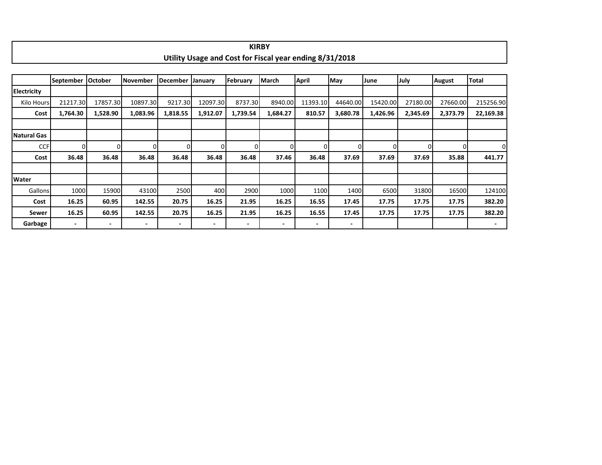|                    |                  |                          |                          |                          |          |                | <b>KIRBY</b>                                            |              |              |          |          |               |                          |  |
|--------------------|------------------|--------------------------|--------------------------|--------------------------|----------|----------------|---------------------------------------------------------|--------------|--------------|----------|----------|---------------|--------------------------|--|
|                    |                  |                          |                          |                          |          |                | Utility Usage and Cost for Fiscal year ending 8/31/2018 |              |              |          |          |               |                          |  |
|                    |                  |                          |                          |                          |          |                |                                                         |              |              |          |          |               |                          |  |
|                    | <b>September</b> | <b>October</b>           | November                 | <b>December</b>          | January  | February       | March                                                   | <b>April</b> | May          | June     | July     | <b>August</b> | Total                    |  |
| <b>Electricity</b> |                  |                          |                          |                          |          |                |                                                         |              |              |          |          |               |                          |  |
| Kilo Hours         | 21217.30         | 17857.30                 | 10897.30                 | 9217.30                  | 12097.30 | 8737.30        | 8940.00                                                 | 11393.10     | 44640.00     | 15420.00 | 27180.00 | 27660.00      | 215256.90                |  |
| Cost               | 1,764.30         | 1,528.90                 | 1,083.96                 | 1,818.55                 | 1,912.07 | 1,739.54       | 1,684.27                                                | 810.57       | 3,680.78     | 1,426.96 | 2,345.69 | 2,373.79      | 22,169.38                |  |
|                    |                  |                          |                          |                          |          |                |                                                         |              |              |          |          |               |                          |  |
| Natural Gas        |                  |                          |                          |                          |          |                |                                                         |              |              |          |          |               |                          |  |
| <b>CCF</b>         | $\Omega$         | Ωl                       | 0l                       | 0                        | $\Omega$ | $\overline{0}$ | 0                                                       | $\Omega$     | $\mathbf{0}$ | $\Omega$ | $\Omega$ | $\Omega$      | $\Omega$                 |  |
| Cost               | 36.48            | 36.48                    | 36.48                    | 36.48                    | 36.48    | 36.48          | 37.46                                                   | 36.48        | 37.69        | 37.69    | 37.69    | 35.88         | 441.77                   |  |
|                    |                  |                          |                          |                          |          |                |                                                         |              |              |          |          |               |                          |  |
| <b>Water</b>       |                  |                          |                          |                          |          |                |                                                         |              |              |          |          |               |                          |  |
| Gallons            | 1000             | 15900                    | 43100                    | 2500                     | 400      | 2900           | 1000                                                    | 1100         | 1400         | 6500     | 31800    | 16500         | 124100                   |  |
| Cost               | 16.25            | 60.95                    | 142.55                   | 20.75                    | 16.25    | 21.95          | 16.25                                                   | 16.55        | 17.45        | 17.75    | 17.75    | 17.75         | 382.20                   |  |
| Sewer              | 16.25            | 60.95                    | 142.55                   | 20.75                    | 16.25    | 21.95          | 16.25                                                   | 16.55        | 17.45        | 17.75    | 17.75    | 17.75         | 382.20                   |  |
| Garbage            | ٠                | $\overline{\phantom{0}}$ | $\overline{\phantom{a}}$ | $\overline{\phantom{a}}$ | ٠        | -              | $\overline{\phantom{a}}$                                | ٠            | ٠            |          |          |               | $\overline{\phantom{a}}$ |  |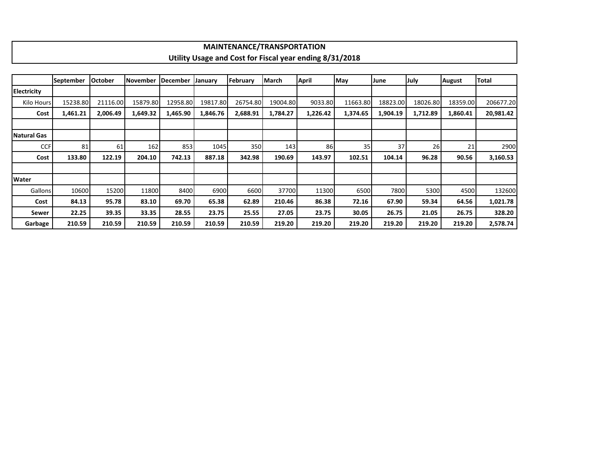|                    |                  |                |                 |          |          | <b>MAINTENANCE/TRANSPORTATION</b> |          |                                                         |          |          |          |               |           |
|--------------------|------------------|----------------|-----------------|----------|----------|-----------------------------------|----------|---------------------------------------------------------|----------|----------|----------|---------------|-----------|
|                    |                  |                |                 |          |          |                                   |          | Utility Usage and Cost for Fiscal year ending 8/31/2018 |          |          |          |               |           |
|                    |                  |                |                 |          |          |                                   |          |                                                         |          |          |          |               |           |
|                    | <b>September</b> | <b>October</b> | <b>November</b> | December | January  | February                          | March    | <b>April</b>                                            | May      | June     | July     | <b>August</b> | Total     |
| Electricity        |                  |                |                 |          |          |                                   |          |                                                         |          |          |          |               |           |
| <b>Kilo Hours</b>  | 15238.80         | 21116.00       | 15879.80        | 12958.80 | 19817.80 | 26754.80                          | 19004.80 | 9033.80                                                 | 11663.80 | 18823.00 | 18026.80 | 18359.00      | 206677.20 |
| Cost               | 1,461.21         | 2,006.49       | 1,649.32        | 1,465.90 | 1,846.76 | 2,688.91                          | 1,784.27 | 1,226.42                                                | 1,374.65 | 1,904.19 | 1,712.89 | 1,860.41      | 20,981.42 |
|                    |                  |                |                 |          |          |                                   |          |                                                         |          |          |          |               |           |
| <b>Natural Gas</b> |                  |                |                 |          |          |                                   |          |                                                         |          |          |          |               |           |
| <b>CCF</b>         | 81               | 61             | 162             | 853      | 1045     | 350                               | 143      | 86 <sup>1</sup>                                         | 35       | 37       | 26       | 21            | 2900      |
| Cost               | 133.80           | 122.19         | 204.10          | 742.13   | 887.18   | 342.98                            | 190.69   | 143.97                                                  | 102.51   | 104.14   | 96.28    | 90.56         | 3,160.53  |
|                    |                  |                |                 |          |          |                                   |          |                                                         |          |          |          |               |           |
| Water              |                  |                |                 |          |          |                                   |          |                                                         |          |          |          |               |           |
| <b>Gallons</b>     | 10600            | 15200          | 11800           | 8400     | 6900     | 6600                              | 37700    | 11300                                                   | 6500     | 7800     | 5300     | 4500          | 132600    |
| Cost               | 84.13            | 95.78          | 83.10           | 69.70    | 65.38    | 62.89                             | 210.46   | 86.38                                                   | 72.16    | 67.90    | 59.34    | 64.56         | 1,021.78  |
| Sewer              | 22.25            | 39.35          | 33.35           | 28.55    | 23.75    | 25.55                             | 27.05    | 23.75                                                   | 30.05    | 26.75    | 21.05    | 26.75         | 328.20    |
| Garbage            | 210.59           | 210.59         | 210.59          | 210.59   | 210.59   | 210.59                            | 219.20   | 219.20                                                  | 219.20   | 219.20   | 219.20   | 219.20        | 2,578.74  |

**I**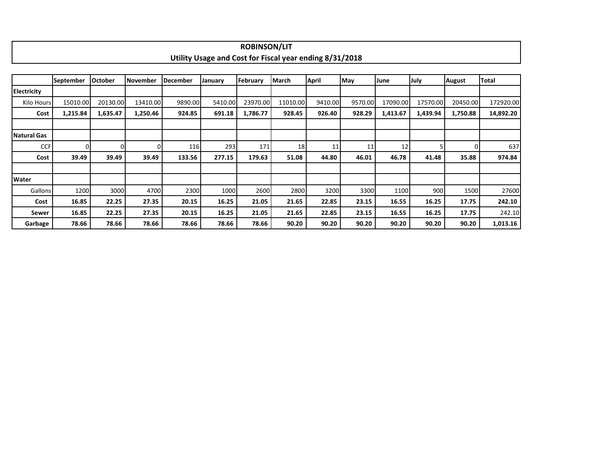|                    |                  |                |                 |                 |                                                         | <b>ROBINSON/LIT</b> |          |              |         |          |          |               |           |
|--------------------|------------------|----------------|-----------------|-----------------|---------------------------------------------------------|---------------------|----------|--------------|---------|----------|----------|---------------|-----------|
|                    |                  |                |                 |                 | Utility Usage and Cost for Fiscal year ending 8/31/2018 |                     |          |              |         |          |          |               |           |
|                    |                  |                |                 |                 |                                                         |                     |          |              |         |          |          |               |           |
|                    | <b>September</b> | <b>October</b> | <b>November</b> | <b>December</b> | January                                                 | February            | March    | <b>April</b> | May     | June     | July     | <b>August</b> | Total     |
| <b>Electricity</b> |                  |                |                 |                 |                                                         |                     |          |              |         |          |          |               |           |
| Kilo Hours         | 15010.00         | 20130.00       | 13410.00        | 9890.00         | 5410.00                                                 | 23970.00            | 11010.00 | 9410.00      | 9570.00 | 17090.00 | 17570.00 | 20450.00      | 172920.00 |
| Cost               | 1,215.84         | 1,635.47       | 1,250.46        | 924.85          | 691.18                                                  | 1,786.77            | 928.45   | 926.40       | 928.29  | 1,413.67 | 1,439.94 | 1,750.88      | 14,892.20 |
|                    |                  |                |                 |                 |                                                         |                     |          |              |         |          |          |               |           |
| <b>Natural Gas</b> |                  |                |                 |                 |                                                         |                     |          |              |         |          |          |               |           |
| <b>CCF</b>         | $\Omega$         | $\Omega$       |                 | 116             | 293                                                     | 171                 | 18       | 11           | 11      | 12       |          | 01            | 637       |
| Cost               | 39.49            | 39.49          | 39.49           | 133.56          | 277.15                                                  | 179.63              | 51.08    | 44.80        | 46.01   | 46.78    | 41.48    | 35.88         | 974.84    |
|                    |                  |                |                 |                 |                                                         |                     |          |              |         |          |          |               |           |
| Water              |                  |                |                 |                 |                                                         |                     |          |              |         |          |          |               |           |
| Gallons            | 1200             | 3000           | 4700            | 2300            | 1000                                                    | 2600                | 2800     | 3200         | 3300    | 1100     | 900      | 1500          | 27600     |
| Cost               | 16.85            | 22.25          | 27.35           | 20.15           | 16.25                                                   | 21.05               | 21.65    | 22.85        | 23.15   | 16.55    | 16.25    | 17.75         | 242.10    |
| Sewer              | 16.85            | 22.25          | 27.35           | 20.15           | 16.25                                                   | 21.05               | 21.65    | 22.85        | 23.15   | 16.55    | 16.25    | 17.75         | 242.10    |
| Garbage            | 78.66            | 78.66          | 78.66           | 78.66           | 78.66                                                   | 78.66               | 90.20    | 90.20        | 90.20   | 90.20    | 90.20    | 90.20         | 1,013.16  |

٠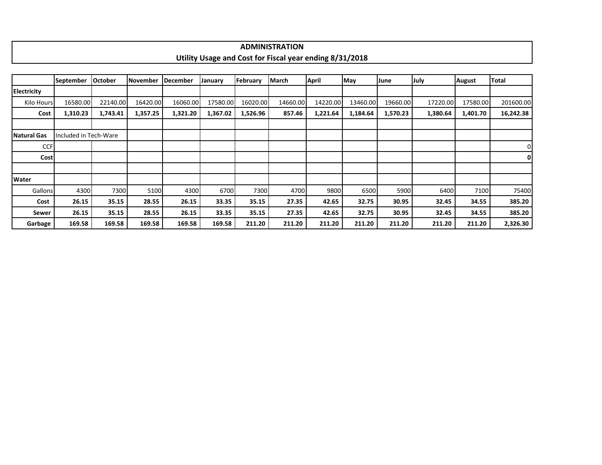|                    |                       |                |          |                 |          |          | <b>ADMINISTRATION</b>                                   |              |          |          |          |          |              |
|--------------------|-----------------------|----------------|----------|-----------------|----------|----------|---------------------------------------------------------|--------------|----------|----------|----------|----------|--------------|
|                    |                       |                |          |                 |          |          | Utility Usage and Cost for Fiscal year ending 8/31/2018 |              |          |          |          |          |              |
|                    |                       |                |          |                 |          |          |                                                         |              |          |          |          |          |              |
|                    | <b>September</b>      | <b>October</b> | November | <b>December</b> | January  | February | <b>March</b>                                            | <b>April</b> | May      | June     | July     | August   | <b>Total</b> |
| <b>Electricity</b> |                       |                |          |                 |          |          |                                                         |              |          |          |          |          |              |
| Kilo Hours         | 16580.00              | 22140.00       | 16420.00 | 16060.00        | 17580.00 | 16020.00 | 14660.00                                                | 14220.00     | 13460.00 | 19660.00 | 17220.00 | 17580.00 | 201600.00    |
| Cost               | 1,310.23              | 1,743.41       | 1,357.25 | 1,321.20        | 1,367.02 | 1,526.96 | 857.46                                                  | 1,221.64     | 1,184.64 | 1,570.23 | 1,380.64 | 1,401.70 | 16,242.38    |
|                    |                       |                |          |                 |          |          |                                                         |              |          |          |          |          |              |
| Natural Gas        | Included in Tech-Ware |                |          |                 |          |          |                                                         |              |          |          |          |          |              |
| <b>CCF</b>         |                       |                |          |                 |          |          |                                                         |              |          |          |          |          | 0            |
| <b>Cost</b>        |                       |                |          |                 |          |          |                                                         |              |          |          |          |          | $\mathbf{0}$ |
|                    |                       |                |          |                 |          |          |                                                         |              |          |          |          |          |              |
| <b>Water</b>       |                       |                |          |                 |          |          |                                                         |              |          |          |          |          |              |
| Gallons            | 4300                  | 7300           | 5100     | 4300            | 6700     | 7300     | 4700                                                    | 9800         | 6500     | 5900     | 6400     | 7100     | 75400        |
| Cost               | 26.15                 | 35.15          | 28.55    | 26.15           | 33.35    | 35.15    | 27.35                                                   | 42.65        | 32.75    | 30.95    | 32.45    | 34.55    | 385.20       |
| Sewer              | 26.15                 | 35.15          | 28.55    | 26.15           | 33.35    | 35.15    | 27.35                                                   | 42.65        | 32.75    | 30.95    | 32.45    | 34.55    | 385.20       |
| Garbage            | 169.58                | 169.58         | 169.58   | 169.58          | 169.58   | 211.20   | 211.20                                                  | 211.20       | 211.20   | 211.20   | 211.20   | 211.20   | 2,326.30     |

## **ADMINISTRATION**

┑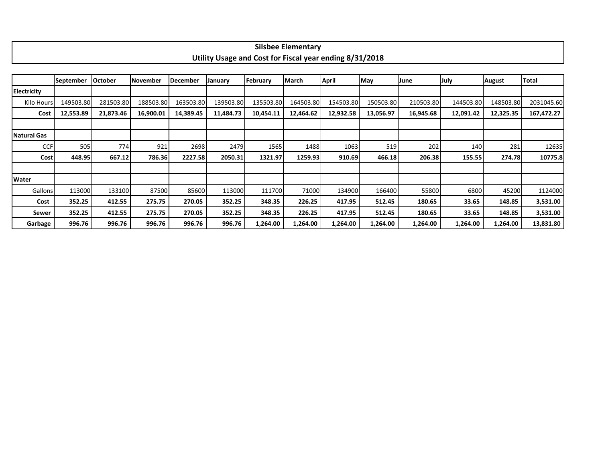|                    |                  |                |           |           |           | Utility Usage and Cost for Fiscal year ending 8/31/2018 |           |           |           |           |           |               |            |
|--------------------|------------------|----------------|-----------|-----------|-----------|---------------------------------------------------------|-----------|-----------|-----------|-----------|-----------|---------------|------------|
|                    |                  |                |           |           |           |                                                         |           |           |           |           |           |               |            |
|                    | <b>September</b> | <b>October</b> | November  | December  | January   | February                                                | March     | April     | May       | June      | July      | <b>August</b> | Total      |
| <b>Electricity</b> |                  |                |           |           |           |                                                         |           |           |           |           |           |               |            |
| Kilo Hours         | 149503.80        | 281503.80      | 188503.80 | 163503.80 | 139503.80 | 135503.80                                               | 164503.80 | 154503.80 | 150503.80 | 210503.80 | 144503.80 | 148503.80     | 2031045.60 |
| Cost               | 12,553.89        | 21,873.46      | 16,900.01 | 14,389.45 | 11,484.73 | 10,454.11                                               | 12,464.62 | 12,932.58 | 13,056.97 | 16,945.68 | 12,091.42 | 12,325.35     | 167,472.27 |
|                    |                  |                |           |           |           |                                                         |           |           |           |           |           |               |            |
| Natural Gas        |                  |                |           |           |           |                                                         |           |           |           |           |           |               |            |
| <b>CCF</b>         | 505              | 774            | 921       | 2698      | 2479      | 1565                                                    | 1488      | 1063      | 519       | 202       | 140       | 281           | 12635      |
| <b>Cost</b>        | 448.95           | 667.12         | 786.36    | 2227.58   | 2050.31   | 1321.97                                                 | 1259.93   | 910.69    | 466.18    | 206.38    | 155.55    | 274.78        | 10775.8    |
|                    |                  |                |           |           |           |                                                         |           |           |           |           |           |               |            |
| Water              |                  |                |           |           |           |                                                         |           |           |           |           |           |               |            |
| Gallons            | 113000           | 133100         | 87500     | 85600     | 113000    | 111700                                                  | 71000     | 134900    | 166400    | 55800     | 6800      | 45200         | 1124000    |
| Cost               | 352.25           | 412.55         | 275.75    | 270.05    | 352.25    | 348.35                                                  | 226.25    | 417.95    | 512.45    | 180.65    | 33.65     | 148.85        | 3,531.00   |
| Sewer              | 352.25           | 412.55         | 275.75    | 270.05    | 352.25    | 348.35                                                  | 226.25    | 417.95    | 512.45    | 180.65    | 33.65     | 148.85        | 3,531.00   |
| Garbage            | 996.76           | 996.76         | 996.76    | 996.76    | 996.76    | 1,264.00                                                | 1,264.00  | 1,264.00  | 1,264.00  | 1,264.00  | 1,264.00  | 1,264.00      | 13,831.80  |

## **Silsbee Elementary**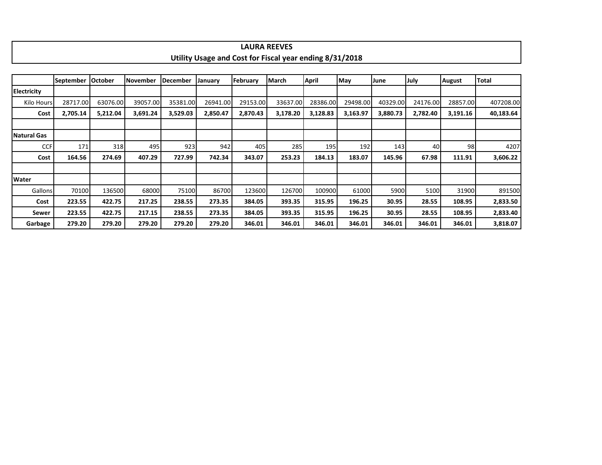|                    |                  |          |                 |          |          |          | Utility Usage and Cost for Fiscal year ending 8/31/2018 |              |            |          |          |               |           |
|--------------------|------------------|----------|-----------------|----------|----------|----------|---------------------------------------------------------|--------------|------------|----------|----------|---------------|-----------|
|                    |                  |          |                 |          |          |          |                                                         |              |            |          |          |               |           |
|                    | <b>September</b> | October  | <b>November</b> | December | January  | February | March                                                   | <b>April</b> | <b>May</b> | June     | July     | <b>August</b> | Total     |
| <b>Electricity</b> |                  |          |                 |          |          |          |                                                         |              |            |          |          |               |           |
| Kilo Hours         | 28717.00         | 63076.00 | 39057.00        | 35381.00 | 26941.00 | 29153.00 | 33637.00                                                | 28386.00     | 29498.00   | 40329.00 | 24176.00 | 28857.00      | 407208.00 |
| Cost               | 2,705.14         | 5,212.04 | 3,691.24        | 3,529.03 | 2,850.47 | 2,870.43 | 3,178.20                                                | 3,128.83     | 3,163.97   | 3,880.73 | 2,782.40 | 3,191.16      | 40,183.64 |
|                    |                  |          |                 |          |          |          |                                                         |              |            |          |          |               |           |
| Natural Gas        |                  |          |                 |          |          |          |                                                         |              |            |          |          |               |           |
| <b>CCF</b>         | 171              | 318      | 495             | 923      | 942      | 405      | 285                                                     | 195          | 192        | 143      | 40       | 98            | 4207      |
| Cost               | 164.56           | 274.69   | 407.29          | 727.99   | 742.34   | 343.07   | 253.23                                                  | 184.13       | 183.07     | 145.96   | 67.98    | 111.91        | 3,606.22  |
|                    |                  |          |                 |          |          |          |                                                         |              |            |          |          |               |           |
| <b>Water</b>       |                  |          |                 |          |          |          |                                                         |              |            |          |          |               |           |
| Gallons            | 70100            | 136500   | 68000           | 75100    | 86700    | 123600   | 126700                                                  | 100900       | 61000      | 5900     | 5100     | 31900         | 891500    |
| Cost               | 223.55           | 422.75   | 217.25          | 238.55   | 273.35   | 384.05   | 393.35                                                  | 315.95       | 196.25     | 30.95    | 28.55    | 108.95        | 2,833.50  |
| Sewer              | 223.55           | 422.75   | 217.15          | 238.55   | 273.35   | 384.05   | 393.35                                                  | 315.95       | 196.25     | 30.95    | 28.55    | 108.95        | 2,833.40  |
| Garbage            | 279.20           | 279.20   | 279.20          | 279.20   | 279.20   | 346.01   | 346.01                                                  | 346.01       | 346.01     | 346.01   | 346.01   | 346.01        | 3,818.07  |

**LAURA REEVES**